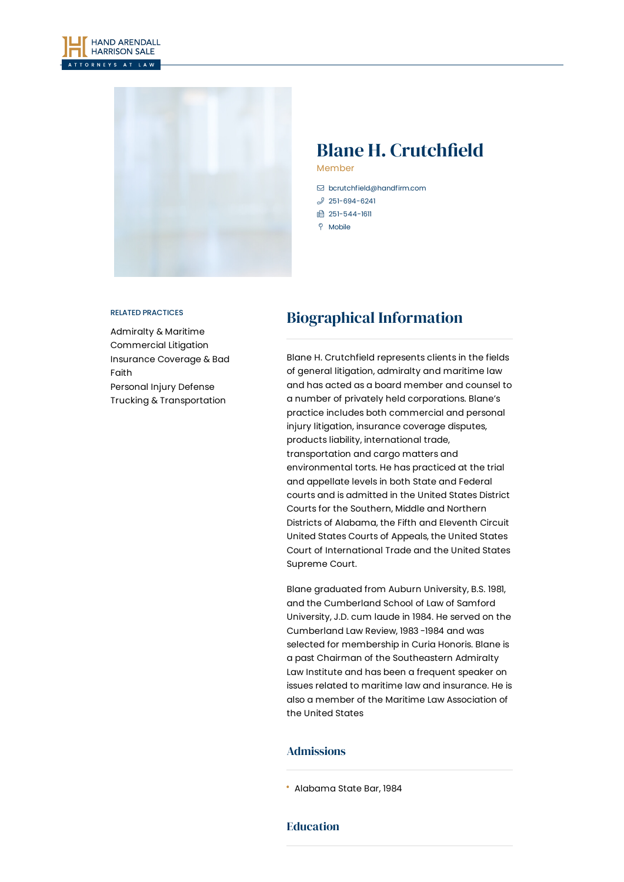



# Blane H. Crutchfield

Member

- [bcrutchfield@handfirm.com](mailto:bcrutchfield@handfirm.com)
- $$251-694-6241$  $$251-694-6241$
- □ 251-544-1611
- $\degree$  Mobile

#### RELATED PRACTICES

[Admiralty](https://www.handfirm.com/practices/litigation/admiralty-maritime/) & Maritime [Commercial](https://www.handfirm.com/practices/litigation/commercial-litigation/) Litigation [Insurance](https://www.handfirm.com/practices/litigation/insurance-coverage-bad-faith/) Coverage & Bad Faith [Personal](https://www.handfirm.com/practices/litigation/personal-injury-defense/) Injury Defense Trucking & [Transportation](https://www.handfirm.com/practices/industries/trucking-transportation/)

## Biographical Information

Blane H. Crutchfield represents clients in the fields of general litigation, admiralty and maritime law and has acted as a board member and counsel to a number of privately held corporations. Blane's practice includes both commercial and personal injury litigation, insurance coverage disputes, products liability, international trade, transportation and cargo matters and environmental torts. He has practiced at the trial and appellate levels in both State and Federal courts and is admitted in the United States District Courts for the Southern, Middle and Northern Districts of Alabama, the Fifth and Eleventh Circuit United States Courts of Appeals, the United States Court of International Trade and the United States Supreme Court.

Blane graduated from Auburn University, B.S. 1981, and the Cumberland School of Law of Samford University, J.D. cum laude in 1984. He served on the Cumberland Law Review, 1983 -1984 and was selected for membership in Curia Honoris. Blane is a past Chairman of the Southeastern Admiralty Law Institute and has been a frequent speaker on issues related to maritime law and insurance. He is also a member of the Maritime Law Association of the United States

#### Admissions

#### **Education**

Alabama State Bar, 1984